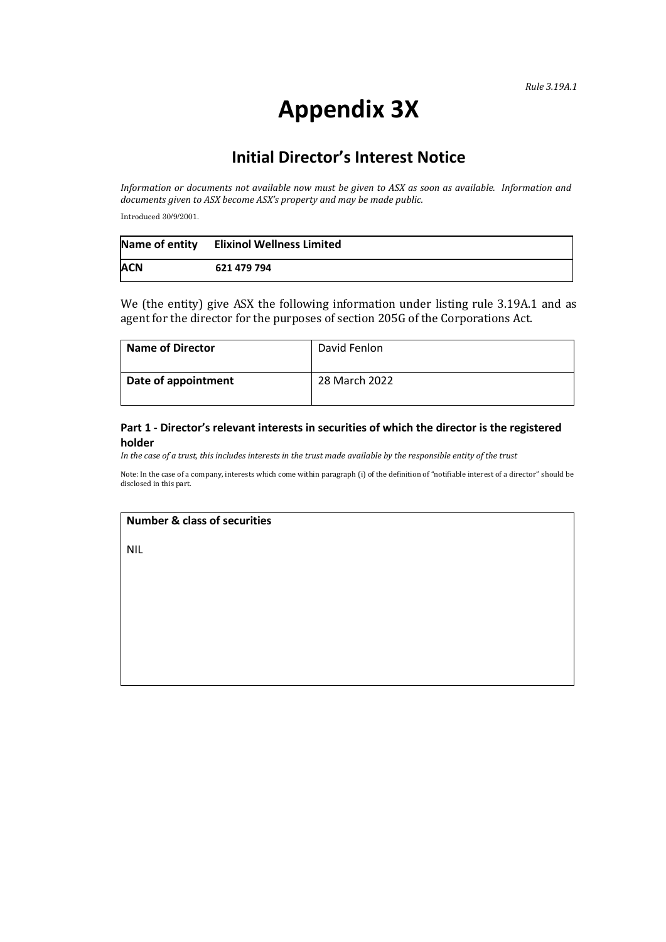# **Appendix 3X**

# **Initial Director's Interest Notice**

*Information or documents not available now must be given to ASX as soon as available. Information and documents given to ASX become ASX's property and may be made public.*

Introduced 30/9/2001.

| Name of entity | <b>Elixinol Wellness Limited</b> |
|----------------|----------------------------------|
| <b>ACN</b>     | 621 479 794                      |

We (the entity) give ASX the following information under listing rule 3.19A.1 and as agent for the director for the purposes of section 205G of the Corporations Act.

| Name of Director    | David Fenlon  |
|---------------------|---------------|
| Date of appointment | 28 March 2022 |

#### **Part 1 - Director's relevant interests in securities of which the director is the registered holder**

*In the case of a trust, this includes interests in the trust made available by the responsible entity of the trust*

Note: In the case of a company, interests which come within paragraph (i) of the definition of "notifiable interest of a director" should be disclosed in this part.

## **Number & class of securities**

NIL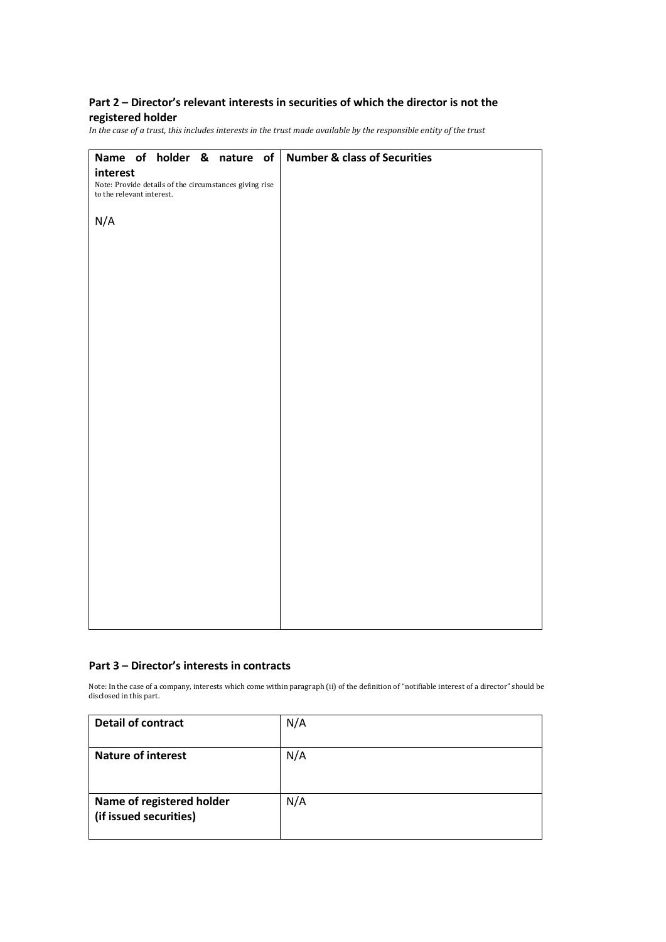## **Part 2 – Director's relevant interests in securities of which the director is not the registered holder**

*In the case of a trust, this includes interests in the trust made available by the responsible entity of the trust*

|                                                        | <b>Number &amp; class of Securities</b> |
|--------------------------------------------------------|-----------------------------------------|
| Name of holder & nature of                             |                                         |
| interest                                               |                                         |
| Note: Provide details of the circumstances giving rise |                                         |
| to the relevant interest.                              |                                         |
|                                                        |                                         |
| N/A                                                    |                                         |
|                                                        |                                         |
|                                                        |                                         |
|                                                        |                                         |
|                                                        |                                         |
|                                                        |                                         |
|                                                        |                                         |
|                                                        |                                         |
|                                                        |                                         |
|                                                        |                                         |
|                                                        |                                         |
|                                                        |                                         |
|                                                        |                                         |
|                                                        |                                         |
|                                                        |                                         |
|                                                        |                                         |
|                                                        |                                         |
|                                                        |                                         |
|                                                        |                                         |
|                                                        |                                         |
|                                                        |                                         |
|                                                        |                                         |
|                                                        |                                         |
|                                                        |                                         |
|                                                        |                                         |
|                                                        |                                         |
|                                                        |                                         |
|                                                        |                                         |
|                                                        |                                         |
|                                                        |                                         |
|                                                        |                                         |
|                                                        |                                         |
|                                                        |                                         |
|                                                        |                                         |
|                                                        |                                         |

#### **Part 3 – Director's interests in contracts**

Note: In the case of a company, interests which come within paragraph (ii) of the definition of "notifiable interest of a director" should be disclosed in this part.

| <b>Detail of contract</b>                           | N/A |
|-----------------------------------------------------|-----|
| <b>Nature of interest</b>                           | N/A |
| Name of registered holder<br>(if issued securities) | N/A |